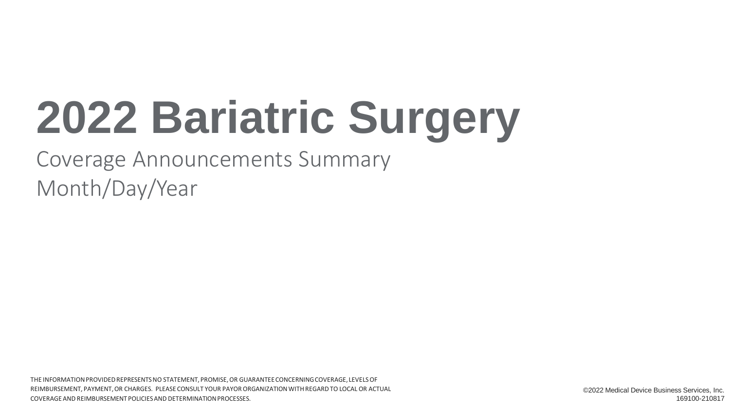# **2022 Bariatric Surgery**

Coverage Announcements Summary Month/Day/Year

THE INFORMATION PROVIDED REPRESENTS NO STATEMENT, PROMISE, OR GUARANTEE CONCERNING COVERAGE, LEVELS OF REIMBURSEMENT, PAYMENT, OR CHARGES. PLEASE CONSULT YOUR PAYOR ORGANIZATION WITH REGARD TO LOCAL OR ACTUAL COVERAGE AND REIMBURSEMENT POLICIES AND DETERMINATION PROCESSES.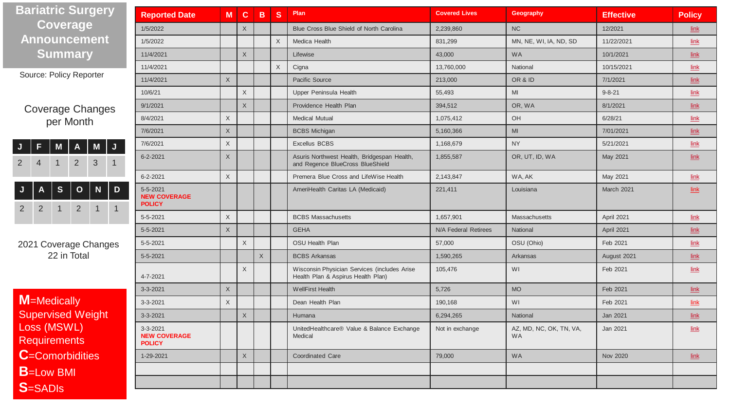| <b>Bariatric Surgery</b>                                                                                    | <b>Reported Date</b>                             | M           | $\mathbf{C}$ | B           | <sub>S</sub> | Plan                                                                               | <b>Covered Lives</b> | Geography                            | <b>Effective</b> | <b>Policy</b>            |
|-------------------------------------------------------------------------------------------------------------|--------------------------------------------------|-------------|--------------|-------------|--------------|------------------------------------------------------------------------------------|----------------------|--------------------------------------|------------------|--------------------------|
| <b>Coverage</b>                                                                                             | 1/5/2022                                         |             | $\mathsf X$  |             |              | Blue Cross Blue Shield of North Carolina                                           | 2,239,860            | <b>NC</b>                            | 12/2021          | link                     |
| <b>Announcement</b>                                                                                         | 1/5/2022                                         |             |              |             | $\mathsf X$  | Medica Health                                                                      | 831,299              | MN, NE, WI, IA, ND, SD               | 11/22/2021       | link                     |
| <b>Summary</b>                                                                                              | 11/4/2021                                        |             | $\mathsf X$  |             |              | Lifewise                                                                           | 43,000               | <b>WA</b>                            | 10/1/2021        | $link$                   |
|                                                                                                             | 11/4/2021                                        |             |              |             | $\times$     | Cigna                                                                              | 13,760,000           | National                             | 10/15/2021       | link                     |
| Source: Policy Reporter                                                                                     | 11/4/2021                                        | $\chi$      |              |             |              | Pacific Source                                                                     | 213,000              | OR & ID                              | 7/1/2021         | $\overline{\text{link}}$ |
|                                                                                                             | 10/6/21                                          |             | $\mathsf X$  |             |              | Upper Peninsula Health                                                             | 55,493               | MI                                   | $9 - 8 - 21$     | link                     |
| <b>Coverage Changes</b>                                                                                     | 9/1/2021                                         |             | $\mathsf X$  |             |              | Providence Health Plan                                                             | 394,512              | OR, WA                               | 8/1/2021         | $\overline{\text{link}}$ |
| per Month                                                                                                   | 8/4/2021                                         | $\mathsf X$ |              |             |              | <b>Medical Mutual</b>                                                              | 1,075,412            | OH                                   | 6/28/21          | $\overline{\text{link}}$ |
|                                                                                                             | 7/6/2021                                         | $\sf X$     |              |             |              | <b>BCBS</b> Michigan                                                               | 5,160,366            | MI                                   | 7/01/2021        | $\overline{\text{link}}$ |
| $\overline{\mathsf{J}}$<br>M<br>M<br>A                                                                      | 7/6/2021                                         | $\mathsf X$ |              |             |              | <b>Excellus BCBS</b>                                                               | 1,168,679            | <b>NY</b>                            | 5/21/2021        | $link$                   |
| $\overline{2}$<br>3<br>$\overline{2}$<br>4                                                                  | 6-2-2021                                         | $\chi$      |              |             |              | Asuris Northwest Health, Bridgespan Health,<br>and Regence BlueCross BlueShield    | 1,855,587            | OR, UT, ID, WA                       | May 2021         | $link$                   |
|                                                                                                             | $6 - 2 - 2021$                                   | X           |              |             |              | Premera Blue Cross and LifeWise Health<br>2,143,847<br>WA, AK                      |                      | May 2021                             | link             |                          |
| ${\bf S}$<br>D<br>$\mathbf{o}$<br>N<br>$\overline{2}$<br>$\overline{2}$<br>$\overline{1}$<br>$\overline{2}$ | 5-5-2021<br><b>NEW COVERAGE</b><br><b>POLICY</b> |             |              |             |              | AmeriHealth Caritas LA (Medicaid)                                                  | 221,411              | Louisiana                            | March 2021       | $\mathbf{link}$          |
|                                                                                                             | 5-5-2021                                         | $\mathsf X$ |              |             |              | <b>BCBS Massachusetts</b>                                                          | 1,657,901            | Massachusetts                        | April 2021       | $\overline{\text{link}}$ |
|                                                                                                             | 5-5-2021                                         | X           |              |             |              | <b>GEHA</b>                                                                        | N/A Federal Retirees | National                             | April 2021       | $link$                   |
| 2021 Coverage Changes                                                                                       | $5 - 5 - 2021$                                   |             | $\mathsf X$  |             |              | <b>OSU Health Plan</b>                                                             | 57,000               | OSU (Ohio)                           | Feb 2021         | $\overline{\text{link}}$ |
| 22 in Total                                                                                                 | $5 - 5 - 2021$                                   |             |              | $\mathsf X$ |              | <b>BCBS Arkansas</b>                                                               | 1,590,265            | Arkansas                             | August 2021      | $link$                   |
|                                                                                                             | 4-7-2021                                         |             | $\times$     |             |              | Wisconsin Physician Services (includes Arise<br>Health Plan & Aspirus Health Plan) | 105.476              | WI                                   | Feb 2021         | link                     |
|                                                                                                             | 3-3-2021                                         | $\mathsf X$ |              |             |              | <b>WellFirst Health</b>                                                            | 5,726                | <b>MO</b>                            | Feb 2021         | $link$                   |
| M=Medically                                                                                                 | 3-3-2021                                         | $\mathsf X$ |              |             |              | Dean Health Plan                                                                   | 190,168              | WI                                   | Feb 2021         | link                     |
| <b>Supervised Weight</b>                                                                                    | 3-3-2021                                         |             | $\mathsf X$  |             |              | Humana                                                                             | 6,294,265            | National                             | Jan 2021         | $\overline{\text{link}}$ |
| Loss (MSWL)<br><b>Requirements</b>                                                                          | 3-3-2021<br><b>NEW COVERAGE</b><br><b>POLICY</b> |             |              |             |              | UnitedHealthcare® Value & Balance Exchange<br>Medical                              | Not in exchange      | AZ, MD, NC, OK, TN, VA,<br><b>WA</b> | Jan 2021         | $link$                   |
| <b>C</b> =Comorbidities                                                                                     | 1-29-2021                                        |             | $\mathsf X$  |             |              | <b>Coordinated Care</b>                                                            | 79,000               | <b>WA</b>                            | Nov 2020         | $link$                   |
| <b>B</b> =Low BMI                                                                                           |                                                  |             |              |             |              |                                                                                    |                      |                                      |                  |                          |
| <b>S</b> =SADIs                                                                                             |                                                  |             |              |             |              |                                                                                    |                      |                                      |                  |                          |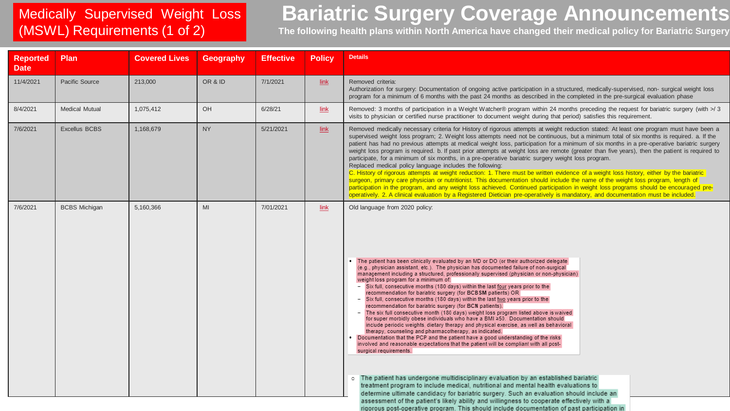### Medically Supervised Weight Loss (MSWL) Requirements (1 of 2)

# **Bariatric Surgery Coverage Announcements**

**The following health plans within North America have changed their medical policy for Bariatric Surgery**

| <b>Reported</b><br><b>Date</b> | Plan                  | <b>Covered Lives</b> | Geography | <b>Effective</b> | <b>Policy</b> | <b>Details</b>                                                                                                                                                                                                                                                                                                                                                                                                                                                                                                                                                                                                                                                                                                                                                                                                                                                                                                                                                                                                                                                                                                                                                                                                                                                                                                                                                                                                                                                                                                                                                                    |
|--------------------------------|-----------------------|----------------------|-----------|------------------|---------------|-----------------------------------------------------------------------------------------------------------------------------------------------------------------------------------------------------------------------------------------------------------------------------------------------------------------------------------------------------------------------------------------------------------------------------------------------------------------------------------------------------------------------------------------------------------------------------------------------------------------------------------------------------------------------------------------------------------------------------------------------------------------------------------------------------------------------------------------------------------------------------------------------------------------------------------------------------------------------------------------------------------------------------------------------------------------------------------------------------------------------------------------------------------------------------------------------------------------------------------------------------------------------------------------------------------------------------------------------------------------------------------------------------------------------------------------------------------------------------------------------------------------------------------------------------------------------------------|
| 11/4/2021                      | Pacific Source        | 213,000              | OR & ID   | 7/1/2021         | $link$        | Removed criteria:<br>Authorization for surgery: Documentation of ongoing active participation in a structured, medically-supervised, non-surgical weight loss<br>program for a minimum of 6 months with the past 24 months as described in the completed in the pre-surgical evaluation phase                                                                                                                                                                                                                                                                                                                                                                                                                                                                                                                                                                                                                                                                                                                                                                                                                                                                                                                                                                                                                                                                                                                                                                                                                                                                                     |
| 8/4/2021                       | <b>Medical Mutual</b> | 1,075,412            | OH        | 6/28/21          | $link$        | Removed: 3 months of participation in a Weight Watcher® program within 24 months preceding the request for bariatric surgery (with >/3<br>visits to physician or certified nurse practitioner to document weight during that period) satisfies this requirement.                                                                                                                                                                                                                                                                                                                                                                                                                                                                                                                                                                                                                                                                                                                                                                                                                                                                                                                                                                                                                                                                                                                                                                                                                                                                                                                  |
| 7/6/2021                       | Excellus BCBS         | 1,168,679            | <b>NY</b> | 5/21/2021        | $link$        | Removed medically necessary criteria for History of rigorous attempts at weight reduction stated: At least one program must have been a<br>supervised weight loss program; 2. Weight loss attempts need not be continuous, but a minimum total of six months is required. a. If the<br>patient has had no previous attempts at medical weight loss, participation for a minimum of six months in a pre-operative bariatric surgery<br>weight loss program is required. b. If past prior attempts at weight loss are remote (greater than five years), then the patient is required to<br>participate, for a minimum of six months, in a pre-operative bariatric surgery weight loss program.<br>Replaced medical policy language includes the following:<br>C. History of rigorous attempts at weight reduction: 1. There must be written evidence of a weight loss history, either by the bariatric<br>surgeon, primary care physician or nutritionist. This documentation should include the name of the weight loss program, length of<br>participation in the program, and any weight loss achieved. Continued participation in weight loss programs should be encouraged pre-<br>operatively. 2. A clinical evaluation by a Registered Dietician pre-operatively is mandatory, and documentation must be included.                                                                                                                                                                                                                                                           |
| 7/6/2021                       | <b>BCBS</b> Michigan  | 5,160,366            | MI        | 7/01/2021        | $link$        | Old language from 2020 policy:<br>The patient has been clinically evaluated by an MD or DO (or their authorized delegate<br>(e.g., physician assistant, etc.). The physician has documented failure of non-surgical<br>management including a structured, professionally supervised (physician or non-physician)<br>weight loss program for a minimum of:<br>- Six full, consecutive months (180 days) within the last four years prior to the<br>recommendation for bariatric surgery (for BCBSM patients) OR<br>- Six full, consecutive months (180 days) within the last two years prior to the<br>recommendation for bariatric surgery (for BCN patients).<br>- The six full consecutive month (180 days) weight loss program listed above is waived<br>for super morbidly obese individuals who have a BMI ≥50. Documentation should<br>include periodic weights, dietary therapy and physical exercise, as well as behavioral<br>therapy, counseling and pharmacotherapy, as indicated.<br>Documentation that the PCP and the patient have a good understanding of the risks<br>involved and reasonable expectations that the patient will be compliant with all post-<br>surgical requirements.<br>The patient has undergone multidisciplinary evaluation by an established bariatric<br>o<br>treatment program to include medical, nutritional and mental health evaluations to<br>determine ultimate candidacy for bariatric surgery. Such an evaluation should include an<br>assessment of the patient's likely ability and willingness to cooperate effectively with a |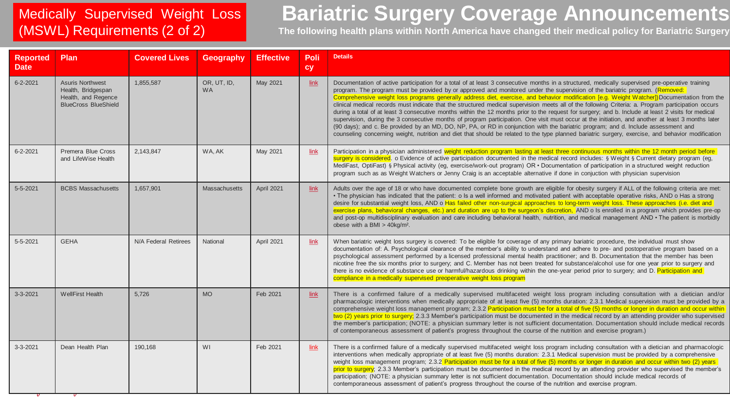### Medically Supervised Weight Loss (MSWL) Requirements (2 of 2)

# **Bariatric Surgery Coverage Announcements**

**The following health plans within North America have changed their medical policy for Bariatric Surgery**

| <b>Reported</b><br><b>Date</b> | Plan                                                                                                | <b>Covered Lives</b> | Geography                | <b>Effective</b> | Poli<br>cy | <b>Details</b>                                                                                                                                                                                                                                                                                                                                                                                                                                                                                                                                                                                                                                                                                                                                                                                                                                                                                                                                                                                                                                                                                                                                                                                  |
|--------------------------------|-----------------------------------------------------------------------------------------------------|----------------------|--------------------------|------------------|------------|-------------------------------------------------------------------------------------------------------------------------------------------------------------------------------------------------------------------------------------------------------------------------------------------------------------------------------------------------------------------------------------------------------------------------------------------------------------------------------------------------------------------------------------------------------------------------------------------------------------------------------------------------------------------------------------------------------------------------------------------------------------------------------------------------------------------------------------------------------------------------------------------------------------------------------------------------------------------------------------------------------------------------------------------------------------------------------------------------------------------------------------------------------------------------------------------------|
| $6 - 2 - 2021$                 | <b>Asuris Northwest</b><br>Health, Bridgespan<br>Health, and Regence<br><b>BlueCross BlueShield</b> | 1.855.587            | OR, UT, ID,<br><b>WA</b> | May 2021         | link       | Documentation of active participation for a total of at least 3 consecutive months in a structured, medically supervised pre-operative training<br>program. The program must be provided by or approved and monitored under the supervision of the bariatric program. (Removed:<br>Comprehensive weight loss programs generally address diet, exercise, and behavior modification [e.g. Weight Watcher]) Documentation from the<br>clinical medical records must indicate that the structured medical supervision meets all of the following Criteria: a. Program participation occurs<br>during a total of at least 3 consecutive months within the 12 months prior to the request for surgery; and b. Include at least 2 visits for medical<br>supervision, during the 3 consecutive months of program participation. One visit must occur at the initiation, and another at least 3 months later<br>(90 days); and c. Be provided by an MD, DO, NP, PA, or RD in conjunction with the bariatric program; and d. Include assessment and<br>counseling concerning weight, nutrition and diet that should be related to the type planned bariatric surgery, exercise, and behavior modification |
| $6 - 2 - 2021$                 | Premera Blue Cross<br>and LifeWise Health                                                           | 2,143,847            | WA, AK                   | May 2021         | link       | Participation in a physician administered weight reduction program lasting at least three continuous months within the 12 month period before<br>surgery is considered. o Evidence of active participation documented in the medical record includes: § Weight § Current dietary program (eg,<br>MediFast, OptiFast) § Physical activity (eg, exercise/work-out program) OR · Documentation of participation in a structured weight reduction<br>program such as as Weight Watchers or Jenny Craig is an acceptable alternative if done in conjuction with physician supervision                                                                                                                                                                                                                                                                                                                                                                                                                                                                                                                                                                                                                |
| $5 - 5 - 2021$                 | <b>BCBS Massachusetts</b>                                                                           | 1,657,901            | <b>Massachusetts</b>     | April 2021       | link       | Adults over the age of 18 or who have documented complete bone growth are eligible for obesity surgery if ALL of the following criteria are met:<br>. The physician has indicated that the patient: o Is a well informed and motivated patient with acceptable operative risks, AND o Has a strong<br>desire for substantial weight loss, AND o Has failed other non-surgical approaches to long-term weight loss. These approaches (i.e. diet and<br>exercise plans, behavioral changes, etc.) and duration are up to the surgeon's discretion, AND o Is enrolled in a program which provides pre-op<br>and post-op multidisciplinary evaluation and care including behavioral health, nutrition, and medical management AND • The patient is morbidly<br>obese with a BMI $>$ 40kg/m <sup>2</sup> .                                                                                                                                                                                                                                                                                                                                                                                           |
| 5-5-2021                       | <b>GEHA</b>                                                                                         | N/A Federal Retirees | National                 | April 2021       | link       | When bariatric weight loss surgery is covered: To be eligible for coverage of any primary bariatric procedure, the individual must show<br>documentation of: A. Psychological clearance of the member's ability to understand and adhere to pre- and postoperative program based on a<br>psychological assessment performed by a licensed professional mental health practitioner; and B. Documentation that the member has been<br>nicotine free the six months prior to surgery; and C. Member has not been treated for substance/alcohol use for one year prior to surgery and<br>there is no evidence of substance use or harmful/hazardous drinking within the one-year period prior to surgery; and D. Participation and<br>compliance in a medically supervised preoperative weight loss program                                                                                                                                                                                                                                                                                                                                                                                         |
| $3 - 3 - 2021$                 | <b>WellFirst Health</b>                                                                             | 5.726                | <b>MO</b>                | Feb 2021         | link       | There is a confirmed failure of a medically supervised multifaceted weight loss program including consultation with a dietician and/or<br>pharmacologic interventions when medically appropriate of at least five (5) months duration: 2.3.1 Medical supervision must be provided by a<br>comprehensive weight loss management program; 2.3.2 Participation must be for a total of five (5) months or longer in duration and occur within<br>two (2) years prior to surgery; 2.3.3 Member's participation must be documented in the medical record by an attending provider who supervised<br>the member's participation; (NOTE: a physician summary letter is not sufficient documentation. Documentation should include medical records<br>of contemporaneous assessment of patient's progress throughout the course of the nutrition and exercise program.)                                                                                                                                                                                                                                                                                                                                  |
| $3 - 3 - 2021$                 | Dean Health Plan                                                                                    | 190,168              | WI                       | Feb 2021         | link       | There is a confirmed failure of a medically supervised multifaceted weight loss program including consultation with a dietician and pharmacologic<br>interventions when medically appropriate of at least five (5) months duration: 2.3.1 Medical supervision must be provided by a comprehensive<br>weight loss management program; 2.3.2 Participation must be for a total of five (5) months or longer in duration and occur within two (2) years<br>prior to surgery; 2.3.3 Member's participation must be documented in the medical record by an attending provider who supervised the member's<br>participation; (NOTE: a physician summary letter is not sufficient documentation. Documentation should include medical records of<br>contemporaneous assessment of patient's progress throughout the course of the nutrition and exercise program.                                                                                                                                                                                                                                                                                                                                      |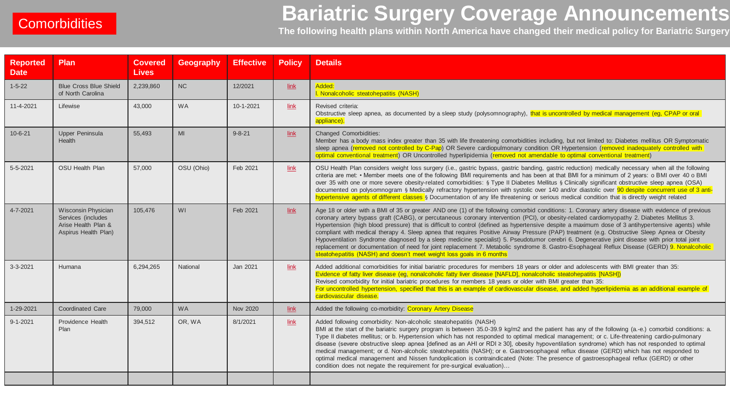# **Bariatric Surgery Coverage Announcements THE FOLLOWING SURVERTHERS**<br>The following health plans within North America have changed their medical policy for Bariatric Surgery

| <b>Reported</b><br><b>Date</b> | Plan                                                                                     | <b>Covered</b><br><b>Lives</b> | <b>Geography</b> | <b>Effective</b> | <b>Policy</b> | <b>Details</b>                                                                                                                                                                                                                                                                                                                                                                                                                                                                                                                                                                                                                                                                                                                                                                                                                                                                                                                                                                      |
|--------------------------------|------------------------------------------------------------------------------------------|--------------------------------|------------------|------------------|---------------|-------------------------------------------------------------------------------------------------------------------------------------------------------------------------------------------------------------------------------------------------------------------------------------------------------------------------------------------------------------------------------------------------------------------------------------------------------------------------------------------------------------------------------------------------------------------------------------------------------------------------------------------------------------------------------------------------------------------------------------------------------------------------------------------------------------------------------------------------------------------------------------------------------------------------------------------------------------------------------------|
| $1 - 5 - 22$                   | <b>Blue Cross Blue Shield</b><br>of North Carolina                                       | 2,239,860                      | <b>NC</b>        | 12/2021          | $link$        | Added:<br>I. Nonalcoholic steatohepatitis (NASH)                                                                                                                                                                                                                                                                                                                                                                                                                                                                                                                                                                                                                                                                                                                                                                                                                                                                                                                                    |
| 11-4-2021                      | Lifewise                                                                                 | 43,000                         | <b>WA</b>        | 10-1-2021        | link          | Revised criteria:<br>Obstructive sleep apnea, as documented by a sleep study (polysomnography), that is uncontrolled by medical management (eg, CPAP or oral<br>appliance).                                                                                                                                                                                                                                                                                                                                                                                                                                                                                                                                                                                                                                                                                                                                                                                                         |
| $10 - 6 - 21$                  | Upper Peninsula<br><b>Health</b>                                                         | 55,493                         | MI               | $9 - 8 - 21$     | link          | <b>Changed Comorbidities:</b><br>Member has a body mass index greater than 35 with life threatening comorbidities including, but not limited to: Diabetes mellitus OR Symptomatic<br>sleep apnea (removed not controlled by C-Pap) OR Severe cardiopulmonary condition OR Hypertension (removed inadequately controlled with<br>optimal conventional treatment) OR Uncontrolled hyperlipidemia (removed not amendable to optimal conventional treatment)                                                                                                                                                                                                                                                                                                                                                                                                                                                                                                                            |
| $5 - 5 - 2021$                 | <b>OSU Health Plan</b>                                                                   | 57,000                         | OSU (Ohio)       | Feb 2021         | link          | OSU Health Plan considers weight loss surgery (i.e., gastric bypass, gastric banding, gastric reduction) medically necessary when all the following<br>criteria are met: • Member meets one of the following BMI requirements and has been at that BMI for a minimum of 2 years: o BMI over 40 o BMI<br>over 35 with one or more severe obesity-related comorbidities: § Type II Diabetes Mellitus § Clinically significant obstructive sleep apnea (OSA)<br>documented on polysomnogram § Medically refractory hypertension with systolic over 140 and/or diastolic over 90 despite concurrent use of 3 anti-<br>hypertensive agents of different classes § Documentation of any life threatening or serious medical condition that is directly weight related                                                                                                                                                                                                                     |
| 4-7-2021                       | Wisconsin Physician<br>Services (includes<br>Arise Health Plan &<br>Aspirus Health Plan) | 105,476                        | WI               | Feb 2021         | link          | Age 18 or older with a BMI of 35 or greater AND one (1) of the following comorbid conditions: 1. Coronary artery disease with evidence of previous<br>coronary artery bypass graft (CABG), or percutaneous coronary intervention (PCI), or obesity-related cardiomyopathy 2. Diabetes Mellitus 3.<br>Hypertension (high blood pressure) that is difficult to control (defined as hypertensive despite a maximum dose of 3 antihypertensive agents) while<br>compliant with medical therapy 4. Sleep apnea that requires Positive Airway Pressure (PAP) treatment (e.g. Obstructive Sleep Apnea or Obesity<br>Hypoventilation Syndrome diagnosed by a sleep medicine specialist) 5. Pseudotumor cerebri 6. Degenerative joint disease with prior total joint<br>replacement or documentation of need for joint replacement 7. Metabolic syndrome 8. Gastro-Esophageal Reflux Disease (GERD) 9. Nonalcoholic<br>steatohepatitis (NASH) and doesn't meet weight loss goals in 6 months |
| $3 - 3 - 2021$                 | Humana                                                                                   | 6,294,265                      | National         | Jan 2021         | link          | Added additional comorbidities for initial bariatric procedures for members 18 years or older and adolescents with BMI greater than 35:<br>Evidence of fatty liver disease (eg, nonalcoholic fatty liver disease [NAFLD], nonalcoholic steatohepatitis [NASH])<br>Revised comorbidity for initial bariatric procedures for members 18 years or older with BMI greater than 35:<br>For uncontrolled hypertension, specified that this is an example of cardiovascular disease, and added hyperlipidemia as an additional example of<br>cardiovascular disease.                                                                                                                                                                                                                                                                                                                                                                                                                       |
| 1-29-2021                      | <b>Coordinated Care</b>                                                                  | 79,000                         | <b>WA</b>        | Nov 2020         | $link$        | Added the following co-morbidity: Coronary Artery Disease                                                                                                                                                                                                                                                                                                                                                                                                                                                                                                                                                                                                                                                                                                                                                                                                                                                                                                                           |
| $9 - 1 - 2021$                 | Providence Health<br>Plan                                                                | 394,512                        | OR, WA           | 8/1/2021         | $link$        | Added following comorbidity: Non-alcoholic steatohepatitis (NASH)<br>BMI at the start of the bariatric surgery program is between 35.0-39.9 kg/m2 and the patient has any of the following (a.-e.) comorbid conditions: a.<br>Type II diabetes mellitus; or b. Hypertension which has not responded to optimal medical management; or c. Life-threatening cardio-pulmonary<br>disease (severe obstructive sleep apnea [defined as an AHI or RDI ≥ 30], obesity hypoventilation syndrome) which has not responded to optimal<br>medical management; or d. Non-alcoholic steatohepatitis (NASH); or e. Gastroesophageal reflux disease (GERD) which has not responded to<br>optimal medical management and Nissen fundoplication is contraindicated (Note: The presence of gastroesophageal reflux (GERD) or other<br>condition does not negate the requirement for pre-surgical evaluation)                                                                                          |
|                                |                                                                                          |                                |                  |                  |               |                                                                                                                                                                                                                                                                                                                                                                                                                                                                                                                                                                                                                                                                                                                                                                                                                                                                                                                                                                                     |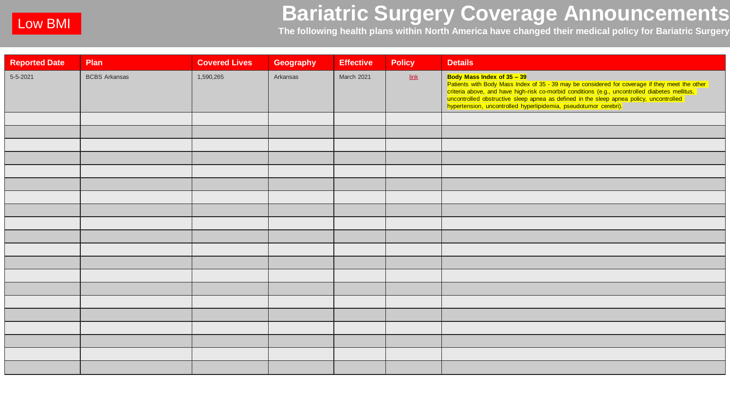# **Bariatric Surgery Coverage Announcements**  The following health plans within North America have changed their medical policy for Bariatric Surgery The following health plans within North America have changed their medical policy for Bariatric Surgery

| <b>Reported Date</b> | Plan                 | <b>Covered Lives</b> | Geography | <b>Effective</b> | <b>Policy</b>            | <b>Details</b>                                                                                                                                                                                                                                                       |
|----------------------|----------------------|----------------------|-----------|------------------|--------------------------|----------------------------------------------------------------------------------------------------------------------------------------------------------------------------------------------------------------------------------------------------------------------|
| 5-5-2021             | <b>BCBS Arkansas</b> | 1,590,265            | Arkansas  | March 2021       | $\overline{\text{link}}$ | Body Mass Index of 35 - 39<br>Douy mass intex of 35 – 39<br>Patients with Body Mass Index of 35 - 39 may be considered for coverage if they meet the other<br>criteria above, and have high-risk co-morbid conditions (e.g., uncontrolled diabetes mellitus,<br>unco |
|                      |                      |                      |           |                  |                          |                                                                                                                                                                                                                                                                      |
|                      |                      |                      |           |                  |                          |                                                                                                                                                                                                                                                                      |
|                      |                      |                      |           |                  |                          |                                                                                                                                                                                                                                                                      |
|                      |                      |                      |           |                  |                          |                                                                                                                                                                                                                                                                      |
|                      |                      |                      |           |                  |                          |                                                                                                                                                                                                                                                                      |
|                      |                      |                      |           |                  |                          |                                                                                                                                                                                                                                                                      |
|                      |                      |                      |           |                  |                          |                                                                                                                                                                                                                                                                      |
|                      |                      |                      |           |                  |                          |                                                                                                                                                                                                                                                                      |
|                      |                      |                      |           |                  |                          |                                                                                                                                                                                                                                                                      |
|                      |                      |                      |           |                  |                          |                                                                                                                                                                                                                                                                      |
|                      |                      |                      |           |                  |                          |                                                                                                                                                                                                                                                                      |
|                      |                      |                      |           |                  |                          |                                                                                                                                                                                                                                                                      |
|                      |                      |                      |           |                  |                          |                                                                                                                                                                                                                                                                      |
|                      |                      |                      |           |                  |                          |                                                                                                                                                                                                                                                                      |
|                      |                      |                      |           |                  |                          |                                                                                                                                                                                                                                                                      |
|                      |                      |                      |           |                  |                          |                                                                                                                                                                                                                                                                      |
|                      |                      |                      |           |                  |                          |                                                                                                                                                                                                                                                                      |
|                      |                      |                      |           |                  |                          |                                                                                                                                                                                                                                                                      |
|                      |                      |                      |           |                  |                          |                                                                                                                                                                                                                                                                      |
|                      |                      |                      |           |                  |                          |                                                                                                                                                                                                                                                                      |